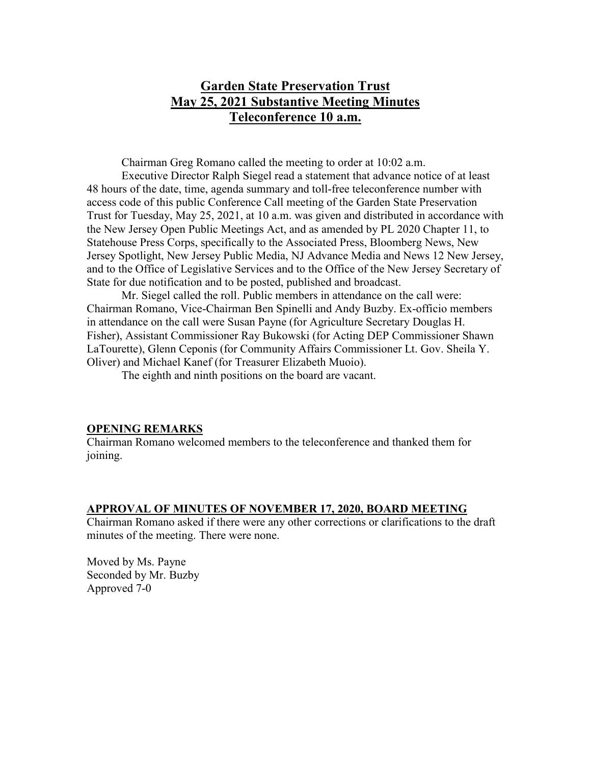# **Garden State Preservation Trust May 25, 2021 Substantive Meeting Minutes Teleconference 10 a.m.**

Chairman Greg Romano called the meeting to order at 10:02 a.m.

Executive Director Ralph Siegel read a statement that advance notice of at least 48 hours of the date, time, agenda summary and toll-free teleconference number with access code of this public Conference Call meeting of the Garden State Preservation Trust for Tuesday, May 25, 2021, at 10 a.m. was given and distributed in accordance with the New Jersey Open Public Meetings Act, and as amended by PL 2020 Chapter 11, to Statehouse Press Corps, specifically to the Associated Press, Bloomberg News, New Jersey Spotlight, New Jersey Public Media, NJ Advance Media and News 12 New Jersey, and to the Office of Legislative Services and to the Office of the New Jersey Secretary of State for due notification and to be posted, published and broadcast.

Mr. Siegel called the roll. Public members in attendance on the call were: Chairman Romano, Vice-Chairman Ben Spinelli and Andy Buzby. Ex-officio members in attendance on the call were Susan Payne (for Agriculture Secretary Douglas H. Fisher), Assistant Commissioner Ray Bukowski (for Acting DEP Commissioner Shawn LaTourette), Glenn Ceponis (for Community Affairs Commissioner Lt. Gov. Sheila Y. Oliver) and Michael Kanef (for Treasurer Elizabeth Muoio).

The eighth and ninth positions on the board are vacant.

### **OPENING REMARKS**

Chairman Romano welcomed members to the teleconference and thanked them for joining.

### **APPROVAL OF MINUTES OF NOVEMBER 17, 2020, BOARD MEETING**

Chairman Romano asked if there were any other corrections or clarifications to the draft minutes of the meeting. There were none.

Moved by Ms. Payne Seconded by Mr. Buzby Approved 7-0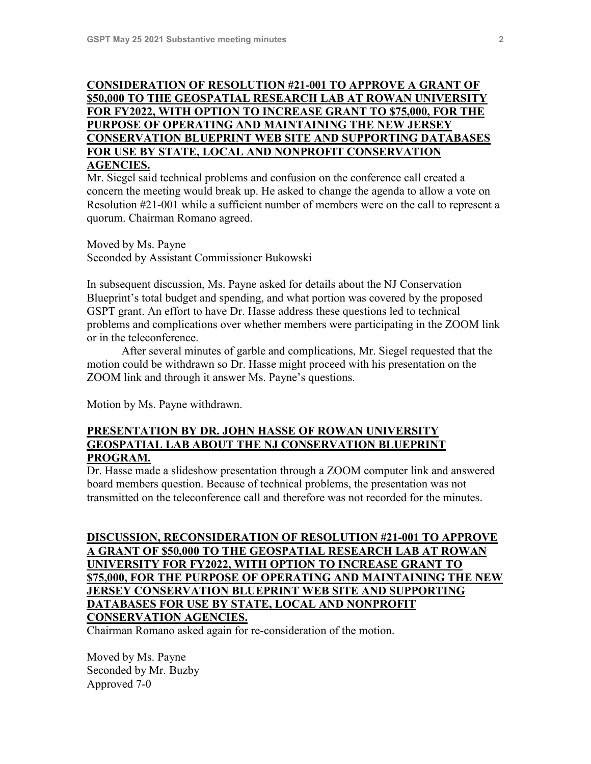## **CONSIDERATION OF RESOLUTION #21-001 TO APPROVE A GRANT OF \$50,000 TO THE GEOSPATIAL RESEARCH LAB AT ROWAN UNIVERSITY FOR FY2022, WITH OPTION TO INCREASE GRANT TO \$75,000, FOR THE PURPOSE OF OPERATING AND MAINTAINING THE NEW JERSEY CONSERVATION BLUEPRINT WEB SITE AND SUPPORTING DATABASES FOR USE BY STATE, LOCAL AND NONPROFIT CONSERVATION AGENCIES.**

Mr. Siegel said technical problems and confusion on the conference call created a concern the meeting would break up. He asked to change the agenda to allow a vote on Resolution #21-001 while a sufficient number of members were on the call to represent a quorum. Chairman Romano agreed.

Moved by Ms. Payne Seconded by Assistant Commissioner Bukowski

In subsequent discussion, Ms. Payne asked for details about the NJ Conservation Blueprint's total budget and spending, and what portion was covered by the proposed GSPT grant. An effort to have Dr. Hasse address these questions led to technical problems and complications over whether members were participating in the ZOOM link or in the teleconference.

After several minutes of garble and complications, Mr. Siegel requested that the motion could be withdrawn so Dr. Hasse might proceed with his presentation on the ZOOM link and through it answer Ms. Payne's questions.

Motion by Ms. Payne withdrawn.

### **PRESENTATION BY DR. JOHN HASSE OF ROWAN UNIVERSITY GEOSPATIAL LAB ABOUT THE NJ CONSERVATION BLUEPRINT PROGRAM.**

Dr. Hasse made a slideshow presentation through a ZOOM computer link and answered board members question. Because of technical problems, the presentation was not transmitted on the teleconference call and therefore was not recorded for the minutes.

# **DISCUSSION, RECONSIDERATION OF RESOLUTION #21-001 TO APPROVE A GRANT OF \$50,000 TO THE GEOSPATIAL RESEARCH LAB AT ROWAN UNIVERSITY FOR FY2022, WITH OPTION TO INCREASE GRANT TO \$75,000, FOR THE PURPOSE OF OPERATING AND MAINTAINING THE NEW JERSEY CONSERVATION BLUEPRINT WEB SITE AND SUPPORTING DATABASES FOR USE BY STATE, LOCAL AND NONPROFIT CONSERVATION AGENCIES.**

Chairman Romano asked again for re-consideration of the motion.

Moved by Ms. Payne Seconded by Mr. Buzby Approved 7-0